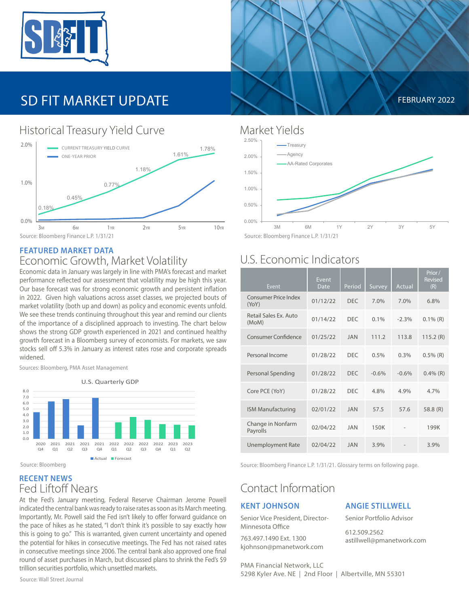

# SD FIT MARKET UPDATE **FEBRUARY 2022**



## Historical Treasury Yield Curve Market Yields

#### **FEATURED MARKET DATA** Economic Growth, Market Volatility

Economic data in January was largely in line with PMA's forecast and market performance reflected our assessment that volatility may be high this year. Our base forecast was for strong economic growth and persistent inflation in 2022. Given high valuations across asset classes, we projected bouts of market volatility (both up and down) as policy and economic events unfold. We see these trends continuing throughout this year and remind our clients of the importance of a disciplined approach to investing. The chart below shows the strong GDP growth experienced in 2021 and continued healthy growth forecast in a Bloomberg survey of economists. For markets, we saw stocks sell off 5.3% in January as interest rates rose and corporate spreads widened.

Sources: Bloomberg, PMA Asset Management



**RECENT NEWS**

### Fed Liftoff Nears

At the Fed's January meeting, Federal Reserve Chairman Jerome Powell indicated the central bank was ready to raise rates as soon as its March meeting. Importantly, Mr. Powell said the Fed isn't likely to offer forward guidance on the pace of hikes as he stated, "I don't think it's possible to say exactly how this is going to go." This is warranted, given current uncertainty and opened the potential for hikes in consecutive meetings. The Fed has not raised rates in consecutive meetings since 2006. The central bank also approved one final round of asset purchases in March, but discussed plans to shrink the Fed's \$9 trillion securities portfolio, which unsettled markets.

Source: Wall Street Journal





## U.S. Economic Indicators

| Event                          | <b>Event</b><br>Date | Period     | Survey  | Actual  | Prior /<br><b>Revised</b><br>(R) |
|--------------------------------|----------------------|------------|---------|---------|----------------------------------|
| Consumer Price Index<br>(YoY)  | 01/12/22             | <b>DFC</b> | 7.0%    | 7.0%    | 6.8%                             |
| Retail Sales Ex. Auto<br>(MoM) | 01/14/22             | <b>DFC</b> | $0.1\%$ | $-2.3%$ | $0.1\%$ (R)                      |
| <b>Consumer Confidence</b>     | 01/25/22             | <b>JAN</b> | 111.2   | 113.8   | 115.2(R)                         |
| Personal Income                | 01/28/22             | <b>DEC</b> | 0.5%    | 0.3%    | $0.5\%$ (R)                      |
| Personal Spending              | 01/28/22             | <b>DFC</b> | $-0.6%$ | $-0.6%$ | $0.4\%$ (R)                      |
| Core PCE (YoY)                 | 01/28/22             | <b>DFC</b> | 4.8%    | 4.9%    | 4.7%                             |
| <b>ISM Manufacturing</b>       | 02/01/22             | <b>JAN</b> | 57.5    | 57.6    | 58.8 $(R)$                       |
| Change in Nonfarm<br>Payrolls  | 02/04/22             | <b>JAN</b> | 150K    |         | 199K                             |
| <b>Unemployment Rate</b>       | 02/04/22             | <b>JAN</b> | 3.9%    |         | 3.9%                             |

Source: Bloomberg Finance L.P. 1/31/21. Glossary terms on following page.

### Contact Information

#### **KENT JOHNSON**

Senior Vice President, Director-Minnesota Office

763.497.1490 Ext. 1300 kjohnson@pmanetwork.com

#### **ANGIE STILLWELL**

Senior Portfolio Advisor

612.509.2562 astillwell@pmanetwork.com

PMA Financial Network, LLC 5298 Kyler Ave. NE | 2nd Floor | Albertville, MN 55301